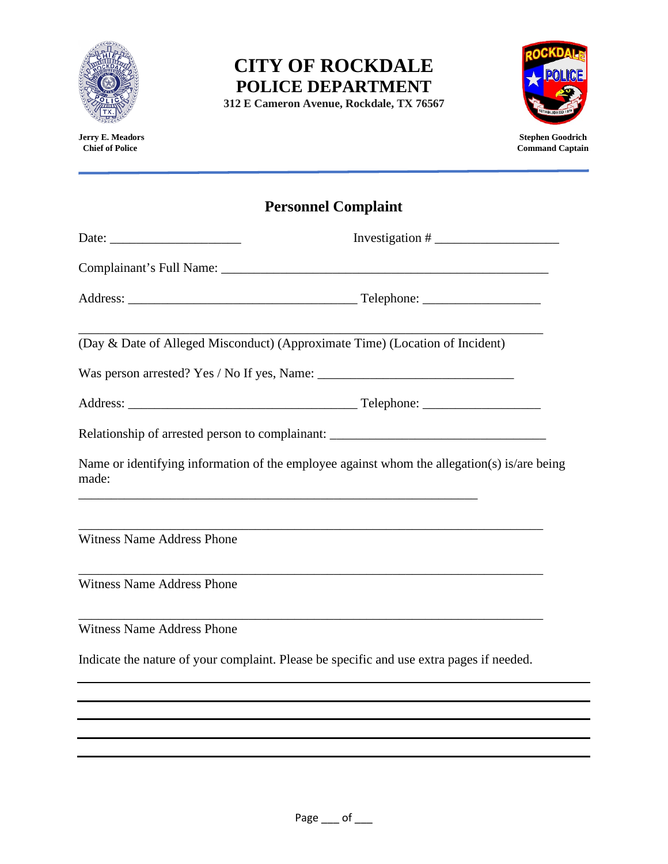

**312 E Cameron Avenue, Rockdale, TX 76567**



**Jerry E. Meadors** Stephen Goodrich<br> **Jerry E. Meadors** Stephen Goodrich<br> **Stephen Goodrich**<br> **Stephen Goodrich**<br> **Stephen Goodrich Command Captain** 

# **Personnel Complaint**

|                                                                              | Investigation # $\frac{1}{\sqrt{1-\frac{1}{2}}\sqrt{1-\frac{1}{2}}\sqrt{1-\frac{1}{2}}\sqrt{1-\frac{1}{2}}}}$ |
|------------------------------------------------------------------------------|---------------------------------------------------------------------------------------------------------------|
|                                                                              |                                                                                                               |
|                                                                              |                                                                                                               |
| (Day & Date of Alleged Misconduct) (Approximate Time) (Location of Incident) |                                                                                                               |
|                                                                              |                                                                                                               |
|                                                                              |                                                                                                               |
|                                                                              | Relationship of arrested person to complainant: _________________________________                             |
| made:                                                                        | Name or identifying information of the employee against whom the allegation(s) is/are being                   |
| <b>Witness Name Address Phone</b>                                            |                                                                                                               |
| <b>Witness Name Address Phone</b>                                            |                                                                                                               |
| <b>Witness Name Address Phone</b>                                            |                                                                                                               |
|                                                                              | Indicate the nature of your complaint. Please be specific and use extra pages if needed.                      |
|                                                                              |                                                                                                               |
|                                                                              |                                                                                                               |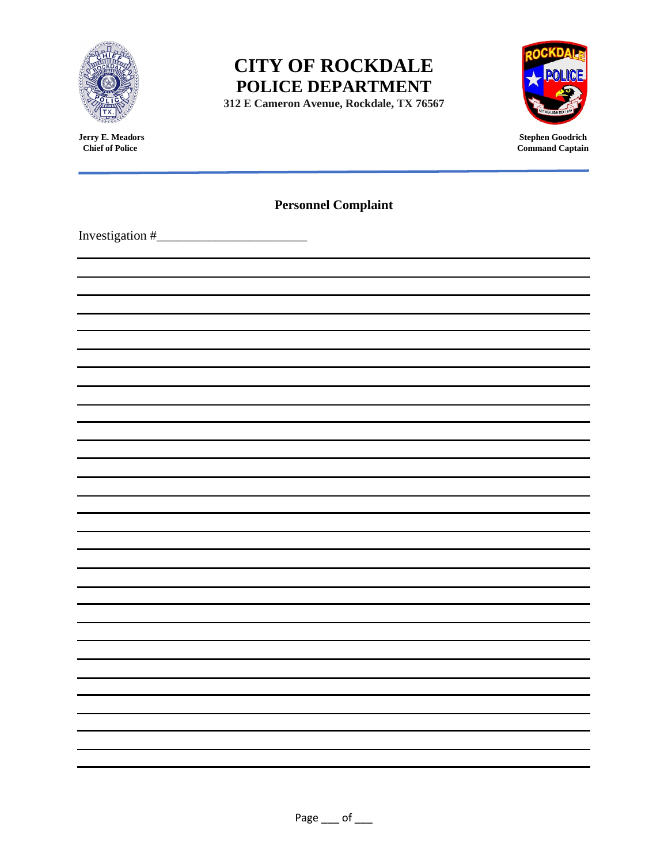

**312 E Cameron Avenue, Rockdale, TX 76567**



**Jerry E. Meadors** Stephen Goodrich<br> **Stephen Goodrich**<br> **Stephen Goodrich**<br> **Command Captain Command Captain** 

| <b>Personnel Complaint</b> |  |
|----------------------------|--|
|                            |  |
|                            |  |
|                            |  |
|                            |  |
|                            |  |
|                            |  |
|                            |  |
|                            |  |
|                            |  |
|                            |  |
|                            |  |
|                            |  |
|                            |  |
|                            |  |
|                            |  |
|                            |  |
|                            |  |
|                            |  |
|                            |  |
|                            |  |
|                            |  |
|                            |  |
|                            |  |
|                            |  |
|                            |  |
|                            |  |
|                            |  |
|                            |  |
|                            |  |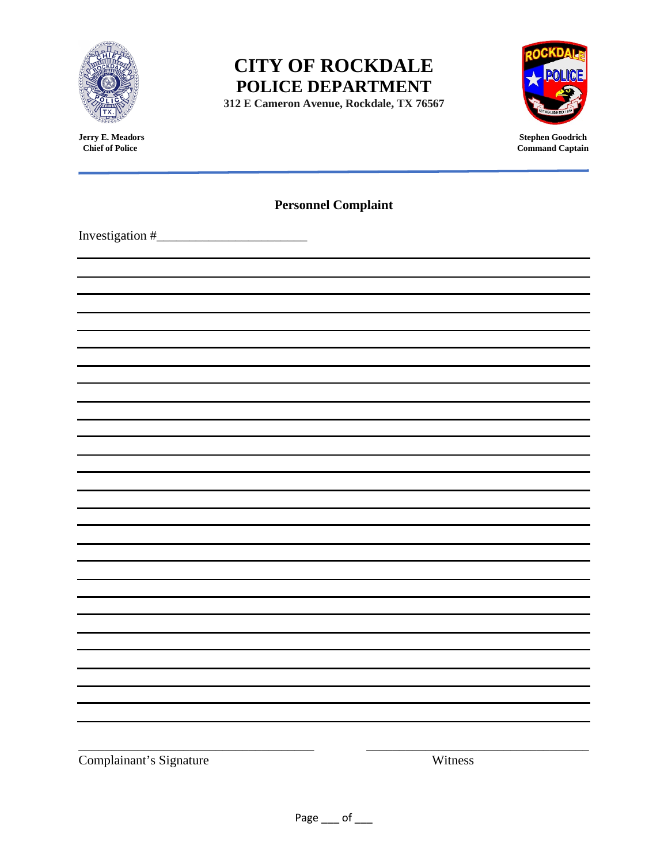

**312 E Cameron Avenue, Rockdale, TX 76567**



**Jerry E. Meadors** Stephen Goodrich<br> **Stephen Goodrich**<br> **Stephen Goodrich**<br> **Command Captain Command Captain** 

| <b>Personnel Complaint</b> |         |
|----------------------------|---------|
|                            |         |
|                            |         |
|                            |         |
|                            |         |
|                            |         |
|                            |         |
|                            |         |
|                            |         |
|                            |         |
|                            |         |
|                            |         |
|                            |         |
|                            |         |
|                            |         |
|                            |         |
|                            |         |
|                            |         |
|                            |         |
|                            |         |
|                            |         |
|                            |         |
|                            |         |
|                            |         |
|                            |         |
|                            |         |
|                            |         |
|                            |         |
|                            |         |
| Complainant's Signature    | Witness |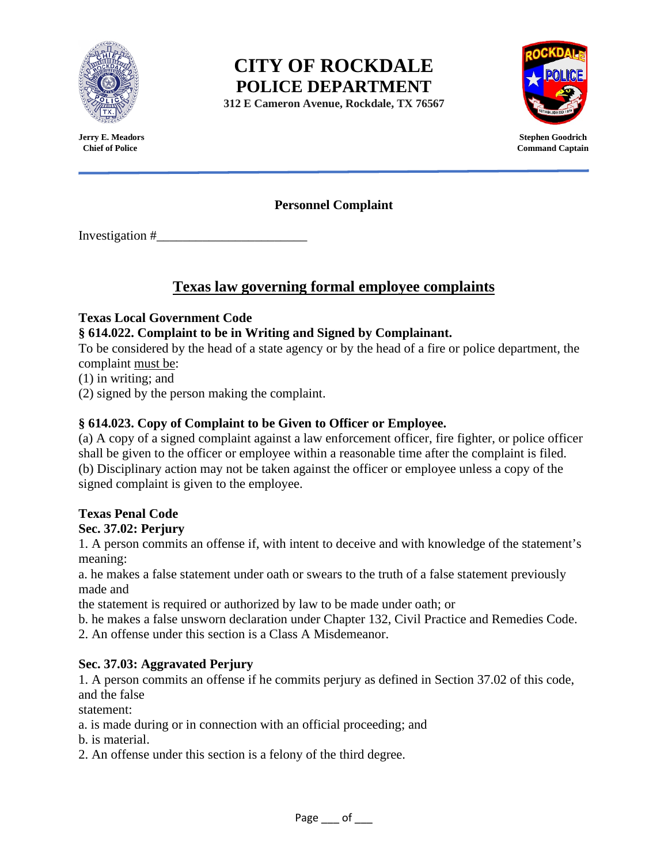

**312 E Cameron Avenue, Rockdale, TX 76567**



**Jerry E. Meadors Stephen Goodrich Command Captain** 

**Personnel Complaint**

Investigation #\_\_\_\_\_\_\_\_\_\_\_\_\_\_\_\_\_\_\_\_\_\_\_

## **Texas law governing formal employee complaints**

#### **Texas Local Government Code**

### **§ 614.022. Complaint to be in Writing and Signed by Complainant.**

To be considered by the head of a state agency or by the head of a fire or police department, the complaint must be:

(1) in writing; and

(2) signed by the person making the complaint.

#### **§ 614.023. Copy of Complaint to be Given to Officer or Employee.**

(a) A copy of a signed complaint against a law enforcement officer, fire fighter, or police officer shall be given to the officer or employee within a reasonable time after the complaint is filed. (b) Disciplinary action may not be taken against the officer or employee unless a copy of the signed complaint is given to the employee.

#### **Texas Penal Code**

#### **Sec. 37.02: Perjury**

1. A person commits an offense if, with intent to deceive and with knowledge of the statement's meaning:

a. he makes a false statement under oath or swears to the truth of a false statement previously made and

the statement is required or authorized by law to be made under oath; or

b. he makes a false unsworn declaration under Chapter 132, Civil Practice and Remedies Code.

2. An offense under this section is a Class A Misdemeanor.

#### **Sec. 37.03: Aggravated Perjury**

1. A person commits an offense if he commits perjury as defined in Section 37.02 of this code, and the false

statement:

- a. is made during or in connection with an official proceeding; and
- b. is material.
- 2. An offense under this section is a felony of the third degree.